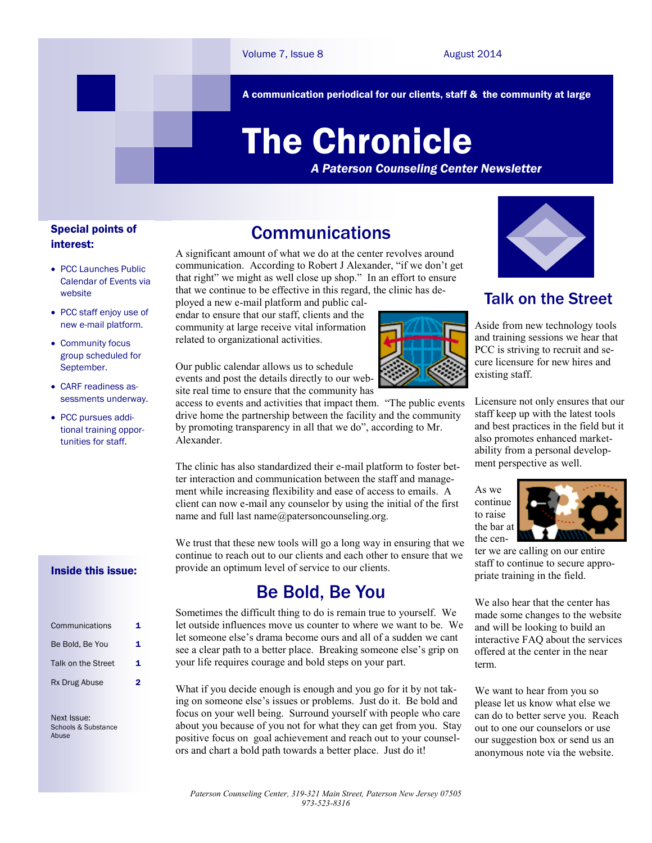A communication periodical for our clients, staff & the community at large

# The Chronicle

*A Paterson Counseling Center Newsletter*

#### Special points of interest:

- PCC Launches Public Calendar of Events via website
- PCC staff enjoy use of new e-mail platform.
- Community focus group scheduled for September.
- CARF readiness assessments underway.
- PCC pursues additional training opportunities for staff.

#### Inside this issue:

| Communications     | 1 |
|--------------------|---|
| Be Bold, Be You    | 1 |
| Talk on the Street | 1 |
| Rx Drug Abuse      | 2 |

Next Issue: Schools & Substance Abuse

### **Communications**

A significant amount of what we do at the center revolves around communication. According to Robert J Alexander, "if we don't get that right" we might as well close up shop." In an effort to ensure that we continue to be effective in this regard, the clinic has de-

ployed a new e-mail platform and public calendar to ensure that our staff, clients and the community at large receive vital information related to organizational activities.

Our public calendar allows us to schedule events and post the details directly to our website real time to ensure that the community has

access to events and activities that impact them. "The public events drive home the partnership between the facility and the community by promoting transparency in all that we do", according to Mr. Alexander.

The clinic has also standardized their e-mail platform to foster better interaction and communication between the staff and management while increasing flexibility and ease of access to emails. A client can now e-mail any counselor by using the initial of the first name and full last name@patersoncounseling.org.

We trust that these new tools will go a long way in ensuring that we continue to reach out to our clients and each other to ensure that we provide an optimum level of service to our clients.

#### Be Bold, Be You

Sometimes the difficult thing to do is remain true to yourself. We let outside influences move us counter to where we want to be. We let someone else's drama become ours and all of a sudden we cant see a clear path to a better place. Breaking someone else's grip on your life requires courage and bold steps on your part.

What if you decide enough is enough and you go for it by not taking on someone else's issues or problems. Just do it. Be bold and focus on your well being. Surround yourself with people who care about you because of you not for what they can get from you. Stay positive focus on goal achievement and reach out to your counselors and chart a bold path towards a better place. Just do it!



Aside from new technology tools and training sessions we hear that PCC is striving to recruit and secure licensure for new hires and existing staff.

Licensure not only ensures that our staff keep up with the latest tools and best practices in the field but it also promotes enhanced marketability from a personal development perspective as well.

As we continue to raise the bar at the cen-



ter we are calling on our entire staff to continue to secure appropriate training in the field.

We also hear that the center has made some changes to the website and will be looking to build an interactive FAQ about the services offered at the center in the near term.

We want to hear from you so please let us know what else we can do to better serve you. Reach out to one our counselors or use our suggestion box or send us an anonymous note via the website.